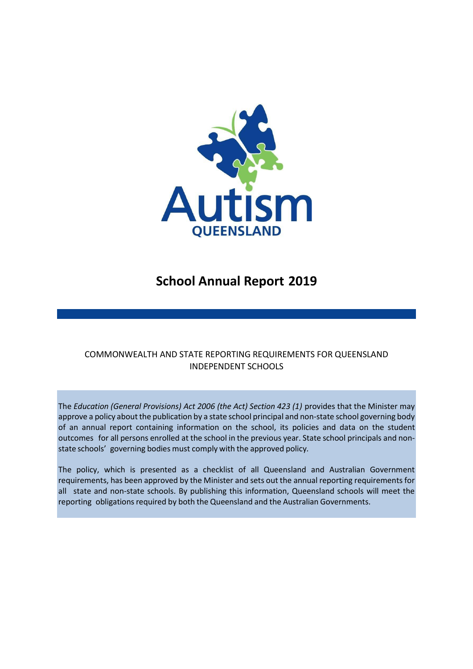

# **School Annual Report 2019**

# COMMONWEALTH AND STATE REPORTING REQUIREMENTS FOR QUEENSLAND INDEPENDENT SCHOOLS

The *Education (General Provisions) Act 2006 (the Act) Section 423 (1)* provides that the Minister may approve a policy about the publication by a state school principal and non-state school governing body of an annual report containing information on the school, its policies and data on the student outcomes for all persons enrolled at the school in the previous year. State school principals and nonstate schools' governing bodies must comply with the approved policy*.*

The policy, which is presented as a checklist of all Queensland and Australian Government requirements, has been approved by the Minister and sets out the annual reporting requirements for all state and non-state schools. By publishing this information, Queensland schools will meet the reporting obligations required by both the Queensland and the Australian Governments.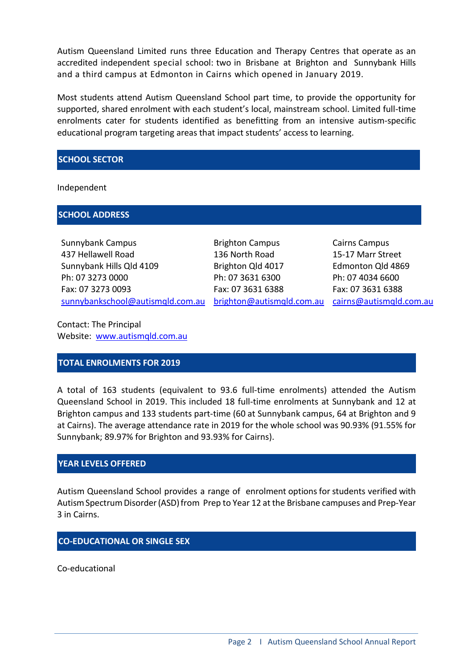Autism Queensland Limited runs three Education and Therapy Centres that operate as an accredited independent special school: two in Brisbane at Brighton and Sunnybank Hills and a third campus at Edmonton in Cairns which opened in January 2019.

Most students attend Autism Queensland School part time, to provide the opportunity for supported, shared enrolment with each student's local, mainstream school. Limited full-time enrolments cater for students identified as benefitting from an intensive autism-specific educational program targeting areas that impact students' access to learning.

### **SCHOOL SECTOR**

Independent

### **SCHOOL ADDRESS**

Sunnybank Campus 437 Hellawell Road Sunnybank Hills Qld 4109 Ph: 07 3273 0000 Fax: 07 3273 0093 [sunnybankschool@autismqld.com.au](mailto:sunnybankschool@autismqld.com.au)

Brighton Campus 136 North Road Brighton Qld 4017 Ph: 07 3631 6300 Fax: 07 3631 6388

[brighton@autismqld.com.au](mailto:righton@autismqld.com.au) [cairns@autismqld.com.au](mailto:cairns@autismqld.com.au) Cairns Campus 15-17 Marr Street Edmonton Qld 4869 Ph: 07 4034 6600 Fax: 07 3631 6388

Contact: The Principal Website: [www.autismqld.com.au](http://www.autismqld.com.au/)

# **TOTAL ENROLMENTS FOR 2019**

A total of 163 students (equivalent to 93.6 full-time enrolments) attended the Autism Queensland School in 2019. This included 18 full-time enrolments at Sunnybank and 12 at Brighton campus and 133 students part-time (60 at Sunnybank campus, 64 at Brighton and 9 at Cairns). The average attendance rate in 2019 for the whole school was 90.93% (91.55% for Sunnybank; 89.97% for Brighton and 93.93% for Cairns).

### **YEAR LEVELS OFFERED**

Autism Queensland School provides a range of enrolment optionsfor students verified with Autism Spectrum Disorder (ASD) from Prep to Year 12 at the Brisbane campuses and Prep-Year 3 in Cairns.

# **CO-EDUCATIONAL OR SINGLE SEX**

Co-educational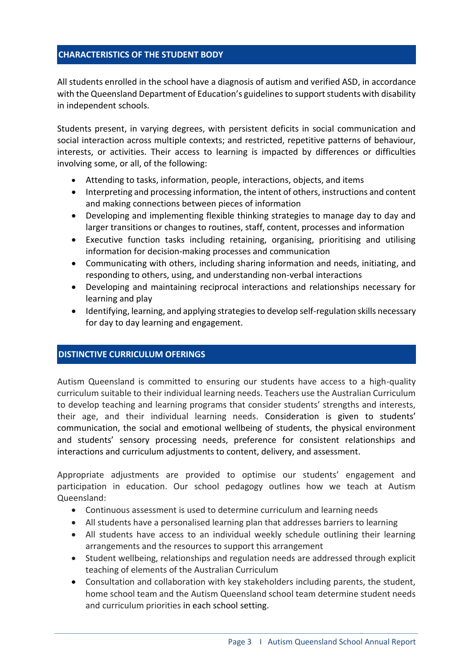### **CHARACTERISTICS OF THE STUDENT BODY**

All students enrolled in the school have a diagnosis of autism and verified ASD, in accordance with the Queensland Department of Education's guidelines to support students with disability in independent schools.

Students present, in varying degrees, with persistent deficits in social communication and social interaction across multiple contexts; and restricted, repetitive patterns of behaviour, interests, or activities. Their access to learning is impacted by differences or difficulties involving some, or all, of the following:

- Attending to tasks, information, people, interactions, objects, and items
- Interpreting and processing information, the intent of others, instructions and content and making connections between pieces of information
- Developing and implementing flexible thinking strategies to manage day to day and larger transitions or changes to routines, staff, content, processes and information
- Executive function tasks including retaining, organising, prioritising and utilising information for decision-making processes and communication
- Communicating with others, including sharing information and needs, initiating, and responding to others, using, and understanding non-verbal interactions
- Developing and maintaining reciprocal interactions and relationships necessary for learning and play
- Identifying, learning, and applying strategies to develop self-regulation skills necessary for day to day learning and engagement.

### **DISTINCTIVE CURRICULUM OFERINGS**

Autism Queensland is committed to ensuring our students have access to a high-quality curriculum suitable to their individual learning needs. Teachers use the Australian Curriculum to develop teaching and learning programs that consider students' strengths and interests, their age, and their individual learning needs. Consideration is given to students' communication, the social and emotional wellbeing of students, the physical environment and students' sensory processing needs, preference for consistent relationships and interactions and curriculum adjustments to content, delivery, and assessment.

Appropriate adjustments are provided to optimise our students' engagement and participation in education. Our school pedagogy outlines how we teach at Autism Queensland:

- Continuous assessment is used to determine curriculum and learning needs
- All students have a personalised learning plan that addresses barriers to learning
- All students have access to an individual weekly schedule outlining their learning arrangements and the resources to support this arrangement
- Student wellbeing, relationships and regulation needs are addressed through explicit teaching of elements of the Australian Curriculum
- Consultation and collaboration with key stakeholders including parents, the student, home school team and the Autism Queensland school team determine student needs and curriculum priorities in each school setting.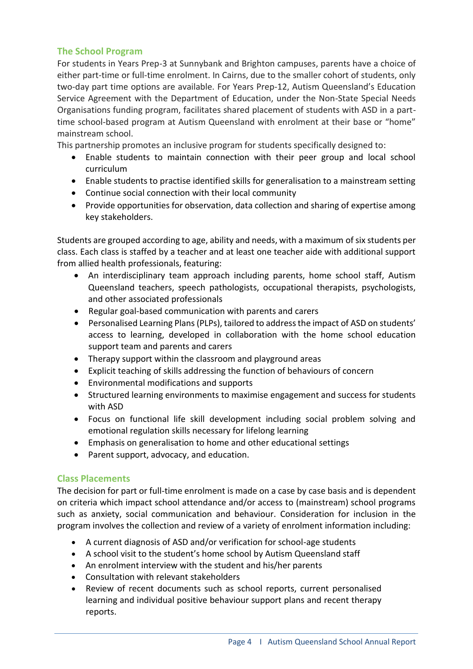# **The School Program**

For students in Years Prep-3 at Sunnybank and Brighton campuses, parents have a choice of either part-time or full-time enrolment. In Cairns, due to the smaller cohort of students, only two-day part time options are available. For Years Prep-12, Autism Queensland's Education Service Agreement with the Department of Education, under the Non-State Special Needs Organisations funding program, facilitates shared placement of students with ASD in a parttime school-based program at Autism Queensland with enrolment at their base or "home" mainstream school.

This partnership promotes an inclusive program for students specifically designed to:

- Enable students to maintain connection with their peer group and local school curriculum
- Enable students to practise identified skills for generalisation to a mainstream setting
- Continue social connection with their local community
- Provide opportunities for observation, data collection and sharing of expertise among key stakeholders.

Students are grouped according to age, ability and needs, with a maximum of six students per class. Each class is staffed by a teacher and at least one teacher aide with additional support from allied health professionals, featuring:

- An interdisciplinary team approach including parents, home school staff, Autism Queensland teachers, speech pathologists, occupational therapists, psychologists, and other associated professionals
- Regular goal-based communication with parents and carers
- Personalised Learning Plans (PLPs), tailored to address the impact of ASD on students' access to learning, developed in collaboration with the home school education support team and parents and carers
- Therapy support within the classroom and playground areas
- Explicit teaching of skills addressing the function of behaviours of concern
- Environmental modifications and supports
- Structured learning environments to maximise engagement and success for students with ASD
- Focus on functional life skill development including social problem solving and emotional regulation skills necessary for lifelong learning
- Emphasis on generalisation to home and other educational settings
- Parent support, advocacy, and education.

# **Class Placements**

The decision for part or full-time enrolment is made on a case by case basis and is dependent on criteria which impact school attendance and/or access to (mainstream) school programs such as anxiety, social communication and behaviour. Consideration for inclusion in the program involves the collection and review of a variety of enrolment information including:

- A current diagnosis of ASD and/or verification for school-age students
- A school visit to the student's home school by Autism Queensland staff
- An enrolment interview with the student and his/her parents
- Consultation with relevant stakeholders
- Review of recent documents such as school reports, current personalised learning and individual positive behaviour support plans and recent therapy reports.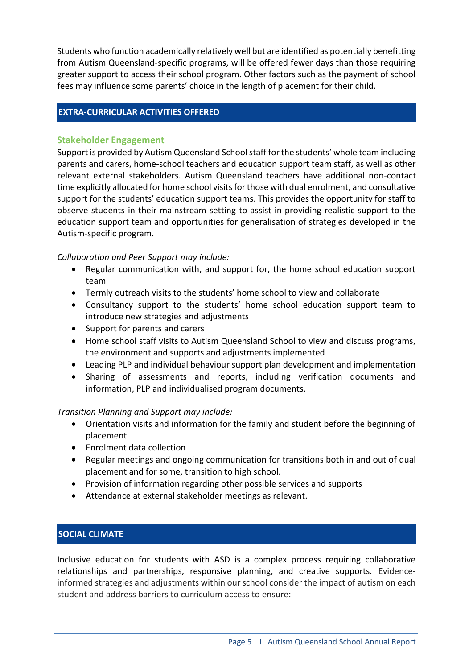Students who function academically relatively well but are identified as potentially benefitting from Autism Queensland-specific programs, will be offered fewer days than those requiring greater support to access their school program. Other factors such as the payment of school fees may influence some parents' choice in the length of placement for their child.

### **EXTRA-CURRICULAR ACTIVITIES OFFERED**

### **Stakeholder Engagement**

Support is provided by Autism Queensland School staff for the students' whole team including parents and carers, home-school teachers and education support team staff, as well as other relevant external stakeholders. Autism Queensland teachers have additional non-contact time explicitly allocated for home school visits for those with dual enrolment, and consultative support for the students' education support teams. This provides the opportunity for staff to observe students in their mainstream setting to assist in providing realistic support to the education support team and opportunities for generalisation of strategies developed in the Autism-specific program.

### *Collaboration and Peer Support may include:*

- Regular communication with, and support for, the home school education support team
- Termly outreach visits to the students' home school to view and collaborate
- Consultancy support to the students' home school education support team to introduce new strategies and adjustments
- Support for parents and carers
- Home school staff visits to Autism Queensland School to view and discuss programs, the environment and supports and adjustments implemented
- Leading PLP and individual behaviour support plan development and implementation
- Sharing of assessments and reports, including verification documents and information, PLP and individualised program documents.

# *Transition Planning and Support may include:*

- Orientation visits and information for the family and student before the beginning of placement
- Enrolment data collection
- Regular meetings and ongoing communication for transitions both in and out of dual placement and for some, transition to high school.
- Provision of information regarding other possible services and supports
- Attendance at external stakeholder meetings as relevant.

# **SOCIAL CLIMATE**

Inclusive education for students with ASD is a complex process requiring collaborative relationships and partnerships, responsive planning, and creative supports. Evidenceinformed strategies and adjustments within our school consider the impact of autism on each student and address barriers to curriculum access to ensure: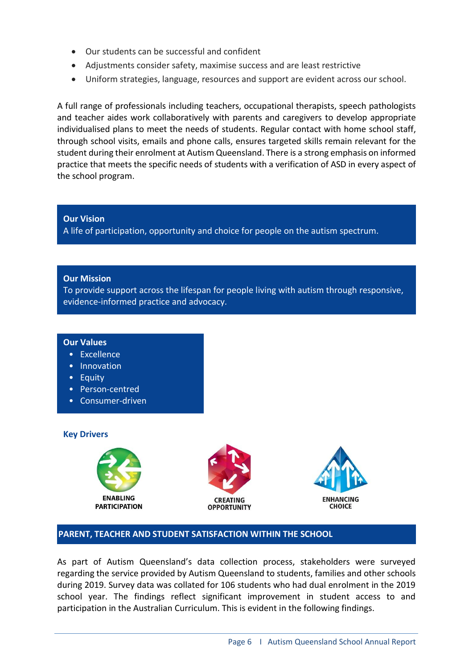- Our students can be successful and confident
- Adjustments consider safety, maximise success and are least restrictive
- Uniform strategies, language, resources and support are evident across our school.

A full range of professionals including teachers, occupational therapists, speech pathologists and teacher aides work collaboratively with parents and caregivers to develop appropriate individualised plans to meet the needs of students. Regular contact with home school staff, through school visits, emails and phone calls, ensures targeted skills remain relevant for the student during their enrolment at Autism Queensland. There is a strong emphasis on informed practice that meets the specific needs of students with a verification of ASD in every aspect of the school program.

**Our Vision** A life of participation, opportunity and choice for people on the autism spectrum.

#### **Our Mission**

To provide support across the lifespan for people living with autism through responsive, evidence-informed practice and advocacy.

#### **Our Values**

- Excellence
- Innovation
- Equity
- Person-centred
- Consumer-driven

#### **Key Drivers**

•







### **PARENT, TEACHER AND STUDENT SATISFACTION WITHIN THE SCHOOL**

As part of Autism Queensland's data collection process, stakeholders were surveyed regarding the service provided by Autism Queensland to students, families and other schools during 2019. Survey data was collated for 106 students who had dual enrolment in the 2019 school year. The findings reflect significant improvement in student access to and participation in the Australian Curriculum. This is evident in the following findings.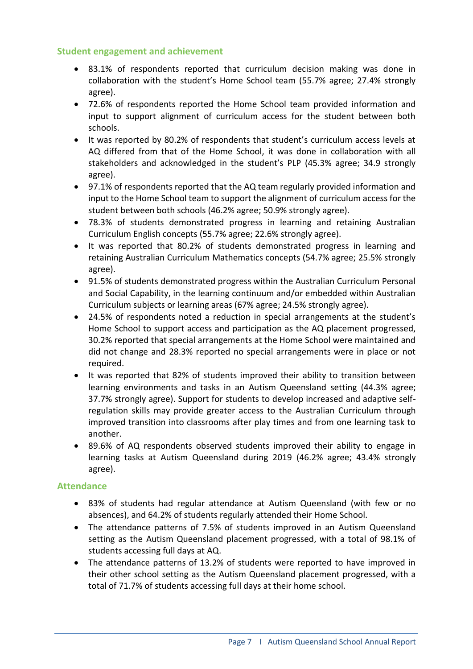# **Student engagement and achievement**

- 83.1% of respondents reported that curriculum decision making was done in collaboration with the student's Home School team (55.7% agree; 27.4% strongly agree).
- 72.6% of respondents reported the Home School team provided information and input to support alignment of curriculum access for the student between both schools.
- It was reported by 80.2% of respondents that student's curriculum access levels at AQ differed from that of the Home School, it was done in collaboration with all stakeholders and acknowledged in the student's PLP (45.3% agree; 34.9 strongly agree).
- 97.1% of respondents reported that the AQ team regularly provided information and input to the Home School team to support the alignment of curriculum access for the student between both schools (46.2% agree; 50.9% strongly agree).
- 78.3% of students demonstrated progress in learning and retaining Australian Curriculum English concepts (55.7% agree; 22.6% strongly agree).
- It was reported that 80.2% of students demonstrated progress in learning and retaining Australian Curriculum Mathematics concepts (54.7% agree; 25.5% strongly agree).
- 91.5% of students demonstrated progress within the Australian Curriculum Personal and Social Capability, in the learning continuum and/or embedded within Australian Curriculum subjects or learning areas (67% agree; 24.5% strongly agree).
- 24.5% of respondents noted a reduction in special arrangements at the student's Home School to support access and participation as the AQ placement progressed, 30.2% reported that special arrangements at the Home School were maintained and did not change and 28.3% reported no special arrangements were in place or not required.
- It was reported that 82% of students improved their ability to transition between learning environments and tasks in an Autism Queensland setting (44.3% agree; 37.7% strongly agree). Support for students to develop increased and adaptive selfregulation skills may provide greater access to the Australian Curriculum through improved transition into classrooms after play times and from one learning task to another.
- 89.6% of AQ respondents observed students improved their ability to engage in learning tasks at Autism Queensland during 2019 (46.2% agree; 43.4% strongly agree).

### **Attendance**

- 83% of students had regular attendance at Autism Queensland (with few or no absences), and 64.2% of students regularly attended their Home School.
- The attendance patterns of 7.5% of students improved in an Autism Queensland setting as the Autism Queensland placement progressed, with a total of 98.1% of students accessing full days at AQ.
- The attendance patterns of 13.2% of students were reported to have improved in their other school setting as the Autism Queensland placement progressed, with a total of 71.7% of students accessing full days at their home school.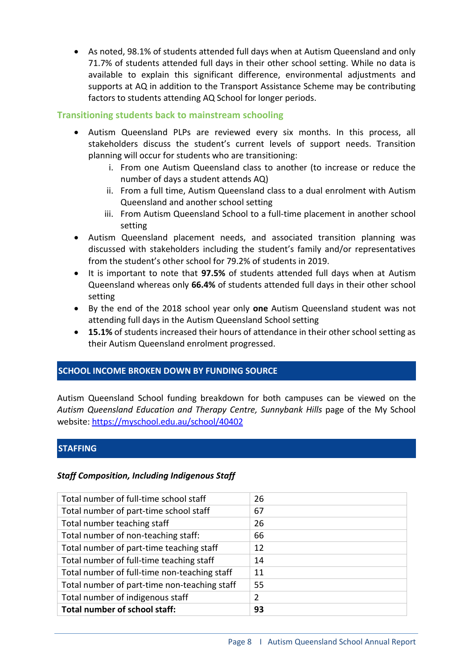• As noted, 98.1% of students attended full days when at Autism Queensland and only 71.7% of students attended full days in their other school setting. While no data is available to explain this significant difference, environmental adjustments and supports at AQ in addition to the Transport Assistance Scheme may be contributing factors to students attending AQ School for longer periods.

# **Transitioning students back to mainstream schooling**

- Autism Queensland PLPs are reviewed every six months. In this process, all stakeholders discuss the student's current levels of support needs. Transition planning will occur for students who are transitioning:
	- i. From one Autism Queensland class to another (to increase or reduce the number of days a student attends AQ)
	- ii. From a full time, Autism Queensland class to a dual enrolment with Autism Queensland and another school setting
	- iii. From Autism Queensland School to a full-time placement in another school setting
- Autism Queensland placement needs, and associated transition planning was discussed with stakeholders including the student's family and/or representatives from the student's other school for 79.2% of students in 2019.
- It is important to note that **97.5%** of students attended full days when at Autism Queensland whereas only **66.4%** of students attended full days in their other school setting
- By the end of the 2018 school year only **one** Autism Queensland student was not attending full days in the Autism Queensland School setting
- **15.1%** of students increased their hours of attendance in their other school setting as their Autism Queensland enrolment progressed.

# **SCHOOL INCOME BROKEN DOWN BY FUNDING SOURCE**

Autism Queensland School funding breakdown for both campuses can be viewed on the *Autism Queensland Education and Therapy Centre, Sunnybank Hills* page of the My School website: <https://myschool.edu.au/school/40402>

# **STAFFING**

### *Staff Composition, Including Indigenous Staff*

| Total number of full-time school staff       | 26             |
|----------------------------------------------|----------------|
| Total number of part-time school staff       | 67             |
| Total number teaching staff                  | 26             |
| Total number of non-teaching staff:          | 66             |
| Total number of part-time teaching staff     | 12             |
| Total number of full-time teaching staff     | 14             |
| Total number of full-time non-teaching staff | 11             |
| Total number of part-time non-teaching staff | 55             |
| Total number of indigenous staff             | $\overline{2}$ |
| Total number of school staff:                | 93             |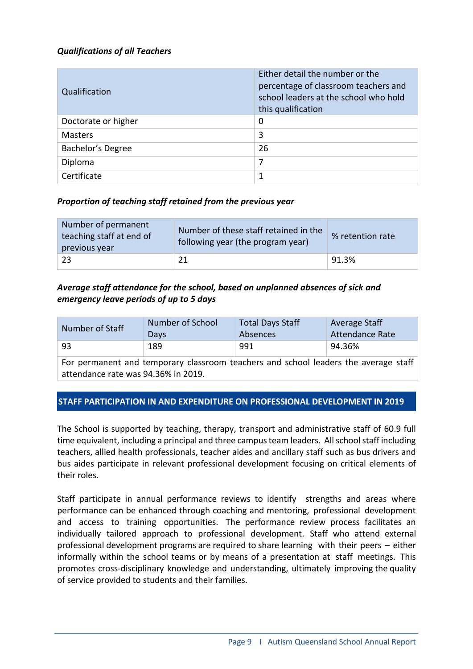# *Qualifications of all Teachers*

| Qualification       | Either detail the number or the<br>percentage of classroom teachers and<br>school leaders at the school who hold<br>this qualification |
|---------------------|----------------------------------------------------------------------------------------------------------------------------------------|
| Doctorate or higher | 0                                                                                                                                      |
| <b>Masters</b>      | 3                                                                                                                                      |
| Bachelor's Degree   | 26                                                                                                                                     |
| Diploma             | 7                                                                                                                                      |
| Certificate         | 1                                                                                                                                      |

# *Proportion of teaching staff retained from the previous year*

| Number of permanent<br>teaching staff at end of<br>previous year | Number of these staff retained in the<br>following year (the program year) | % retention rate |
|------------------------------------------------------------------|----------------------------------------------------------------------------|------------------|
| -23                                                              | 21                                                                         | 91.3%            |

# *Average staff attendance for the school, based on unplanned absences of sick and emergency leave periods of up to 5 days*

| Number of Staff | Number of School | <b>Total Days Staff</b> | Average Staff          |
|-----------------|------------------|-------------------------|------------------------|
|                 | Days             | Absences                | <b>Attendance Rate</b> |
| -93             | 189              | 991                     | 94.36%                 |

For permanent and temporary classroom teachers and school leaders the average staff attendance rate was 94.36% in 2019.

# **STAFF PARTICIPATION IN AND EXPENDITURE ON PROFESSIONAL DEVELOPMENT IN 2019**

The School is supported by teaching, therapy, transport and administrative staff of 60.9 full time equivalent, including a principal and three campus team leaders. All school staff including teachers, allied health professionals, teacher aides and ancillary staff such as bus drivers and bus aides participate in relevant professional development focusing on critical elements of their roles.

Staff participate in annual performance reviews to identify strengths and areas where performance can be enhanced through coaching and mentoring, professional development and access to training opportunities. The performance review process facilitates an individually tailored approach to professional development. Staff who attend external professional development programs are required to share learning with their peers – either informally within the school teams or by means of a presentation at staff meetings. This promotes cross-disciplinary knowledge and understanding, ultimately improving the quality of service provided to students and their families.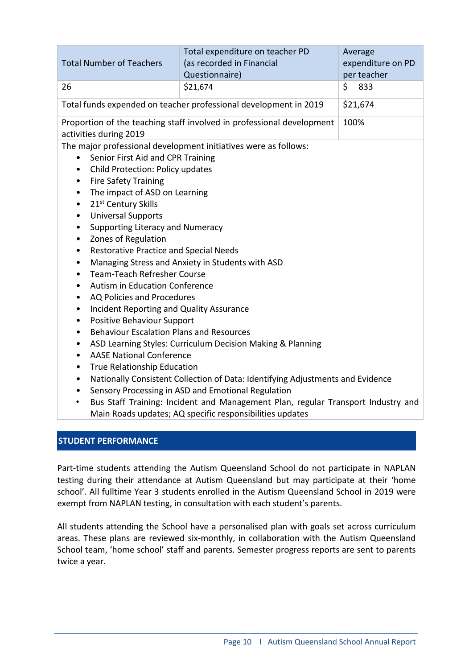| \$<br>\$21,674<br>833<br>26<br>\$21,674<br>Total funds expended on teacher professional development in 2019<br>Proportion of the teaching staff involved in professional development<br>100%<br>activities during 2019<br>The major professional development initiatives were as follows:<br>Senior First Aid and CPR Training<br>$\bullet$<br>Child Protection: Policy updates<br>$\bullet$<br><b>Fire Safety Training</b><br>$\bullet$<br>The impact of ASD on Learning<br>$\bullet$<br>21 <sup>st</sup> Century Skills<br>$\bullet$<br><b>Universal Supports</b><br>$\bullet$<br>Supporting Literacy and Numeracy<br>$\bullet$<br>Zones of Regulation<br>$\bullet$<br><b>Restorative Practice and Special Needs</b><br>$\bullet$<br>Managing Stress and Anxiety in Students with ASD<br>$\bullet$<br><b>Team-Teach Refresher Course</b><br>$\bullet$<br>Autism in Education Conference<br>$\bullet$<br>AQ Policies and Procedures<br>$\bullet$<br>Incident Reporting and Quality Assurance<br>$\bullet$<br>Positive Behaviour Support<br>$\bullet$<br><b>Behaviour Escalation Plans and Resources</b><br>$\bullet$<br>ASD Learning Styles: Curriculum Decision Making & Planning<br>$\bullet$<br><b>AASE National Conference</b><br>$\bullet$<br>True Relationship Education<br>$\bullet$<br>Nationally Consistent Collection of Data: Identifying Adjustments and Evidence<br>$\bullet$ | <b>Total Number of Teachers</b> | Total expenditure on teacher PD<br>(as recorded in Financial<br>Questionnaire) | Average<br>expenditure on PD<br>per teacher |  |  |
|---------------------------------------------------------------------------------------------------------------------------------------------------------------------------------------------------------------------------------------------------------------------------------------------------------------------------------------------------------------------------------------------------------------------------------------------------------------------------------------------------------------------------------------------------------------------------------------------------------------------------------------------------------------------------------------------------------------------------------------------------------------------------------------------------------------------------------------------------------------------------------------------------------------------------------------------------------------------------------------------------------------------------------------------------------------------------------------------------------------------------------------------------------------------------------------------------------------------------------------------------------------------------------------------------------------------------------------------------------------------------------------------|---------------------------------|--------------------------------------------------------------------------------|---------------------------------------------|--|--|
|                                                                                                                                                                                                                                                                                                                                                                                                                                                                                                                                                                                                                                                                                                                                                                                                                                                                                                                                                                                                                                                                                                                                                                                                                                                                                                                                                                                             |                                 |                                                                                |                                             |  |  |
|                                                                                                                                                                                                                                                                                                                                                                                                                                                                                                                                                                                                                                                                                                                                                                                                                                                                                                                                                                                                                                                                                                                                                                                                                                                                                                                                                                                             |                                 |                                                                                |                                             |  |  |
|                                                                                                                                                                                                                                                                                                                                                                                                                                                                                                                                                                                                                                                                                                                                                                                                                                                                                                                                                                                                                                                                                                                                                                                                                                                                                                                                                                                             |                                 |                                                                                |                                             |  |  |
| Sensory Processing in ASD and Emotional Regulation<br>$\bullet$<br>Bus Staff Training: Incident and Management Plan, regular Transport Industry and<br>$\bullet$<br>Main Roads updates; AQ specific responsibilities updates                                                                                                                                                                                                                                                                                                                                                                                                                                                                                                                                                                                                                                                                                                                                                                                                                                                                                                                                                                                                                                                                                                                                                                |                                 |                                                                                |                                             |  |  |

# **STUDENT PERFORMANCE**

Part-time students attending the Autism Queensland School do not participate in NAPLAN testing during their attendance at Autism Queensland but may participate at their 'home school'. All fulltime Year 3 students enrolled in the Autism Queensland School in 2019 were exempt from NAPLAN testing, in consultation with each student's parents.

All students attending the School have a personalised plan with goals set across curriculum areas. These plans are reviewed six-monthly, in collaboration with the Autism Queensland School team, 'home school' staff and parents. Semester progress reports are sent to parents twice a year.